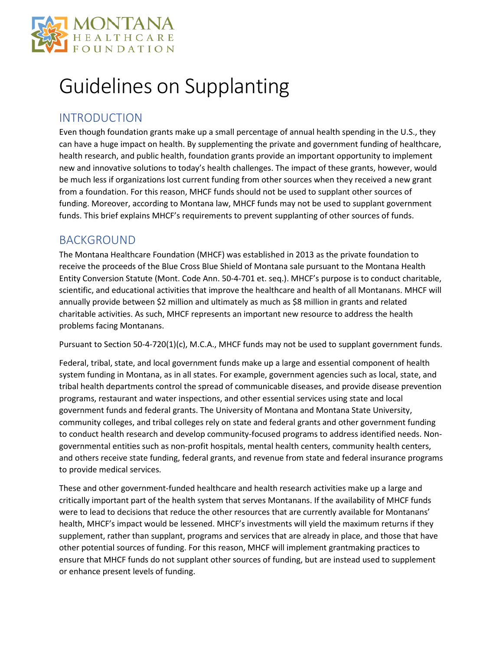

# Guidelines on Supplanting

## INTRODUCTION

Even though foundation grants make up a small percentage of annual health spending in the U.S., they can have a huge impact on health. By supplementing the private and government funding of healthcare, health research, and public health, foundation grants provide an important opportunity to implement new and innovative solutions to today's health challenges. The impact of these grants, however, would be much less if organizations lost current funding from other sources when they received a new grant from a foundation. For this reason, MHCF funds should not be used to supplant other sources of funding. Moreover, according to Montana law, MHCF funds may not be used to supplant government funds. This brief explains MHCF's requirements to prevent supplanting of other sources of funds.

## BACKGROUND

The Montana Healthcare Foundation (MHCF) was established in 2013 as the private foundation to receive the proceeds of the Blue Cross Blue Shield of Montana sale pursuant to the Montana Health Entity Conversion Statute (Mont. Code Ann. 50-4-701 et. seq.). MHCF's purpose is to conduct charitable, scientific, and educational activities that improve the healthcare and health of all Montanans. MHCF will annually provide between \$2 million and ultimately as much as \$8 million in grants and related charitable activities. As such, MHCF represents an important new resource to address the health problems facing Montanans.

Pursuant to Section 50-4-720(1)(c), M.C.A., MHCF funds may not be used to supplant government funds.

Federal, tribal, state, and local government funds make up a large and essential component of health system funding in Montana, as in all states. For example, government agencies such as local, state, and tribal health departments control the spread of communicable diseases, and provide disease prevention programs, restaurant and water inspections, and other essential services using state and local government funds and federal grants. The University of Montana and Montana State University, community colleges, and tribal colleges rely on state and federal grants and other government funding to conduct health research and develop community-focused programs to address identified needs. Nongovernmental entities such as non-profit hospitals, mental health centers, community health centers, and others receive state funding, federal grants, and revenue from state and federal insurance programs to provide medical services.

These and other government-funded healthcare and health research activities make up a large and critically important part of the health system that serves Montanans. If the availability of MHCF funds were to lead to decisions that reduce the other resources that are currently available for Montanans' health, MHCF's impact would be lessened. MHCF's investments will yield the maximum returns if they supplement, rather than supplant, programs and services that are already in place, and those that have other potential sources of funding. For this reason, MHCF will implement grantmaking practices to ensure that MHCF funds do not supplant other sources of funding, but are instead used to supplement or enhance present levels of funding.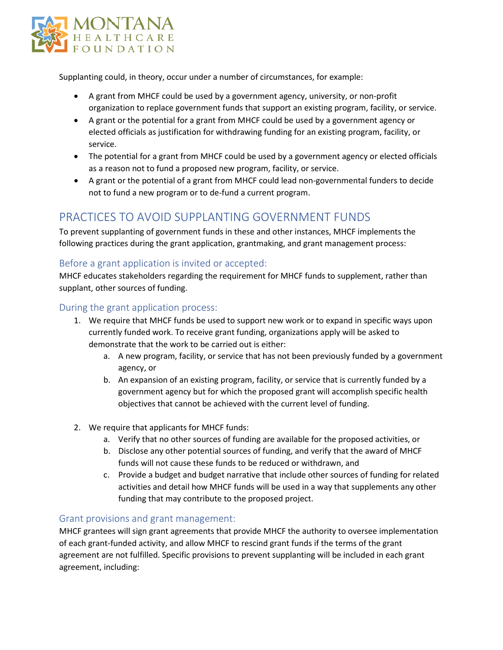

Supplanting could, in theory, occur under a number of circumstances, for example:

- A grant from MHCF could be used by a government agency, university, or non-profit organization to replace government funds that support an existing program, facility, or service.
- A grant or the potential for a grant from MHCF could be used by a government agency or elected officials as justification for withdrawing funding for an existing program, facility, or service.
- The potential for a grant from MHCF could be used by a government agency or elected officials as a reason not to fund a proposed new program, facility, or service.
- A grant or the potential of a grant from MHCF could lead non-governmental funders to decide not to fund a new program or to de-fund a current program.

## PRACTICES TO AVOID SUPPLANTING GOVERNMENT FUNDS

To prevent supplanting of government funds in these and other instances, MHCF implements the following practices during the grant application, grantmaking, and grant management process:

### Before a grant application is invited or accepted:

MHCF educates stakeholders regarding the requirement for MHCF funds to supplement, rather than supplant, other sources of funding.

#### During the grant application process:

- 1. We require that MHCF funds be used to support new work or to expand in specific ways upon currently funded work. To receive grant funding, organizations apply will be asked to demonstrate that the work to be carried out is either:
	- a. A new program, facility, or service that has not been previously funded by a government agency, or
	- b. An expansion of an existing program, facility, or service that is currently funded by a government agency but for which the proposed grant will accomplish specific health objectives that cannot be achieved with the current level of funding.
- 2. We require that applicants for MHCF funds:
	- a. Verify that no other sources of funding are available for the proposed activities, or
	- b. Disclose any other potential sources of funding, and verify that the award of MHCF funds will not cause these funds to be reduced or withdrawn, and
	- c. Provide a budget and budget narrative that include other sources of funding for related activities and detail how MHCF funds will be used in a way that supplements any other funding that may contribute to the proposed project.

#### Grant provisions and grant management:

MHCF grantees will sign grant agreements that provide MHCF the authority to oversee implementation of each grant-funded activity, and allow MHCF to rescind grant funds if the terms of the grant agreement are not fulfilled. Specific provisions to prevent supplanting will be included in each grant agreement, including: